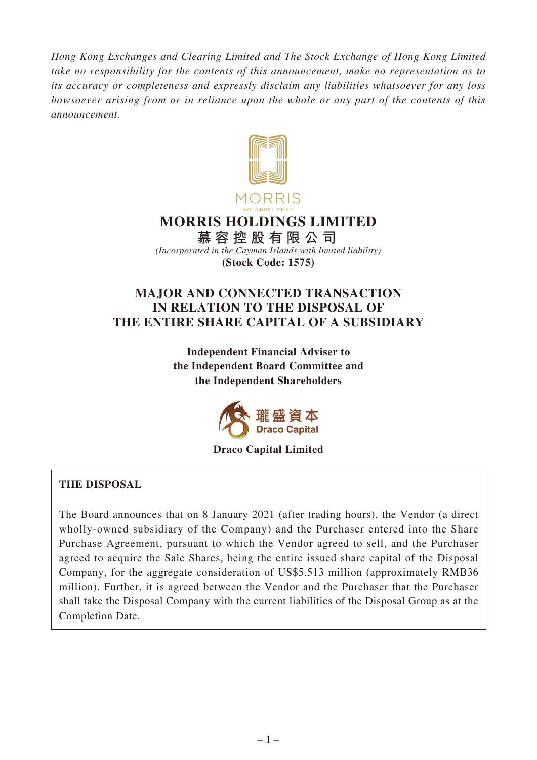*Hong Kong Exchanges and Clearing Limited and The Stock Exchange of Hong Kong Limited take no responsibility for the contents of this announcement, make no representation as to its accuracy or completeness and expressly disclaim any liabilities whatsoever for any loss howsoever arising from or in reliance upon the whole or any part of the contents of this announcement.*



# **MORRIS HOLDINGS LIMITED**

**慕容控股有限公司** *(Incorporated in the Cayman Islands with limited liability)* **(Stock Code: 1575)**

# **MAJOR AND CONNECTED TRANSACTION IN RELATION TO THE DISPOSAL OF THE ENTIRE SHARE CAPITAL OF A SUBSIDIARY**

**Independent Financial Adviser to the Independent Board Committee and the Independent Shareholders**



#### **Draco Capital Limited**

## **THE DISPOSAL**

The Board announces that on 8 January 2021 (after trading hours), the Vendor (a direct wholly-owned subsidiary of the Company) and the Purchaser entered into the Share Purchase Agreement, pursuant to which the Vendor agreed to sell, and the Purchaser agreed to acquire the Sale Shares, being the entire issued share capital of the Disposal Company, for the aggregate consideration of US\$5.513 million (approximately RMB36 million). Further, it is agreed between the Vendor and the Purchaser that the Purchaser shall take the Disposal Company with the current liabilities of the Disposal Group as at the Completion Date.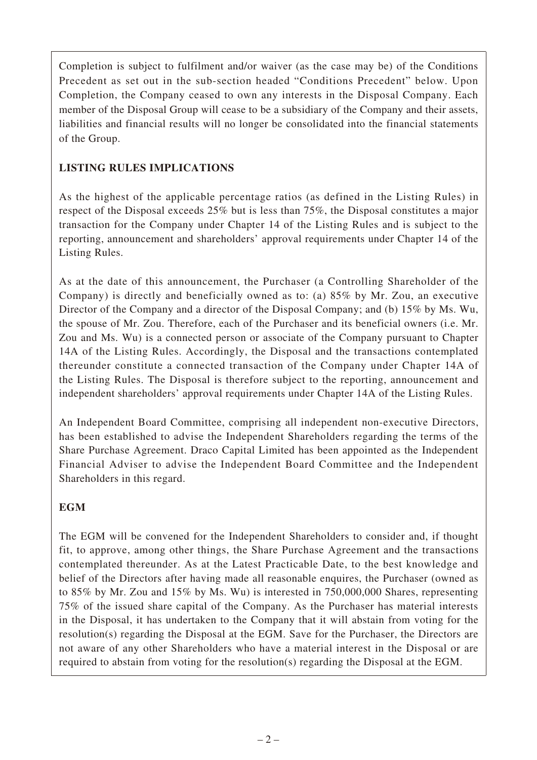Completion is subject to fulfilment and/or waiver (as the case may be) of the Conditions Precedent as set out in the sub-section headed "Conditions Precedent" below. Upon Completion, the Company ceased to own any interests in the Disposal Company. Each member of the Disposal Group will cease to be a subsidiary of the Company and their assets, liabilities and financial results will no longer be consolidated into the financial statements of the Group.

# **LISTING RULES IMPLICATIONS**

As the highest of the applicable percentage ratios (as defined in the Listing Rules) in respect of the Disposal exceeds 25% but is less than 75%, the Disposal constitutes a major transaction for the Company under Chapter 14 of the Listing Rules and is subject to the reporting, announcement and shareholders' approval requirements under Chapter 14 of the Listing Rules.

As at the date of this announcement, the Purchaser (a Controlling Shareholder of the Company) is directly and beneficially owned as to: (a) 85% by Mr. Zou, an executive Director of the Company and a director of the Disposal Company; and (b) 15% by Ms. Wu, the spouse of Mr. Zou. Therefore, each of the Purchaser and its beneficial owners (i.e. Mr. Zou and Ms. Wu) is a connected person or associate of the Company pursuant to Chapter 14A of the Listing Rules. Accordingly, the Disposal and the transactions contemplated thereunder constitute a connected transaction of the Company under Chapter 14A of the Listing Rules. The Disposal is therefore subject to the reporting, announcement and independent shareholders' approval requirements under Chapter 14A of the Listing Rules.

An Independent Board Committee, comprising all independent non-executive Directors, has been established to advise the Independent Shareholders regarding the terms of the Share Purchase Agreement. Draco Capital Limited has been appointed as the Independent Financial Adviser to advise the Independent Board Committee and the Independent Shareholders in this regard.

# **EGM**

The EGM will be convened for the Independent Shareholders to consider and, if thought fit, to approve, among other things, the Share Purchase Agreement and the transactions contemplated thereunder. As at the Latest Practicable Date, to the best knowledge and belief of the Directors after having made all reasonable enquires, the Purchaser (owned as to 85% by Mr. Zou and 15% by Ms. Wu) is interested in 750,000,000 Shares, representing 75% of the issued share capital of the Company. As the Purchaser has material interests in the Disposal, it has undertaken to the Company that it will abstain from voting for the resolution(s) regarding the Disposal at the EGM. Save for the Purchaser, the Directors are not aware of any other Shareholders who have a material interest in the Disposal or are required to abstain from voting for the resolution(s) regarding the Disposal at the EGM.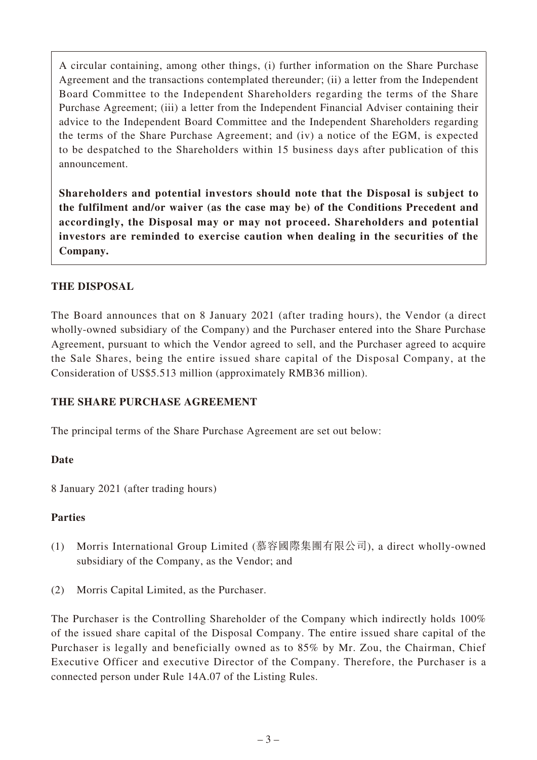A circular containing, among other things, (i) further information on the Share Purchase Agreement and the transactions contemplated thereunder; (ii) a letter from the Independent Board Committee to the Independent Shareholders regarding the terms of the Share Purchase Agreement; (iii) a letter from the Independent Financial Adviser containing their advice to the Independent Board Committee and the Independent Shareholders regarding the terms of the Share Purchase Agreement; and (iv) a notice of the EGM, is expected to be despatched to the Shareholders within 15 business days after publication of this announcement.

**Shareholders and potential investors should note that the Disposal is subject to the fulfilment and/or waiver (as the case may be) of the Conditions Precedent and accordingly, the Disposal may or may not proceed. Shareholders and potential investors are reminded to exercise caution when dealing in the securities of the Company.**

## **THE DISPOSAL**

The Board announces that on 8 January 2021 (after trading hours), the Vendor (a direct wholly-owned subsidiary of the Company) and the Purchaser entered into the Share Purchase Agreement, pursuant to which the Vendor agreed to sell, and the Purchaser agreed to acquire the Sale Shares, being the entire issued share capital of the Disposal Company, at the Consideration of US\$5.513 million (approximately RMB36 million).

#### **THE SHARE PURCHASE AGREEMENT**

The principal terms of the Share Purchase Agreement are set out below:

#### **Date**

8 January 2021 (after trading hours)

#### **Parties**

- (1) Morris International Group Limited (慕容國際集團有限公司), a direct wholly-owned subsidiary of the Company, as the Vendor; and
- (2) Morris Capital Limited, as the Purchaser.

The Purchaser is the Controlling Shareholder of the Company which indirectly holds 100% of the issued share capital of the Disposal Company. The entire issued share capital of the Purchaser is legally and beneficially owned as to 85% by Mr. Zou, the Chairman, Chief Executive Officer and executive Director of the Company. Therefore, the Purchaser is a connected person under Rule 14A.07 of the Listing Rules.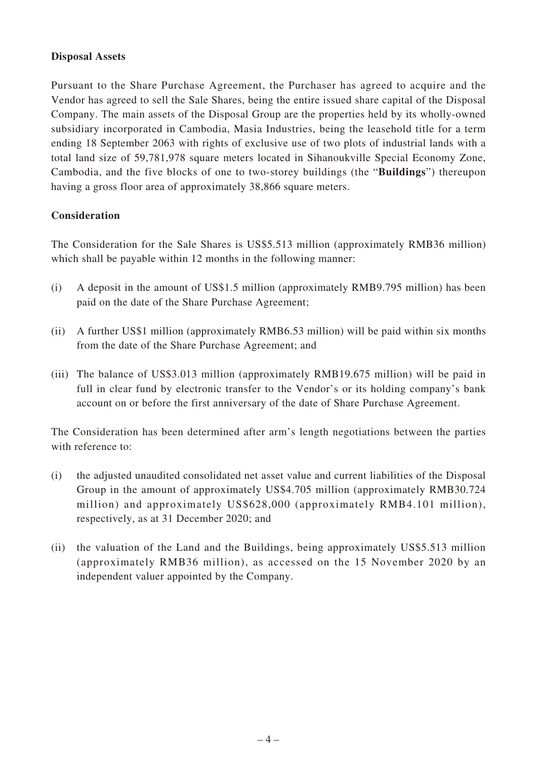#### **Disposal Assets**

Pursuant to the Share Purchase Agreement, the Purchaser has agreed to acquire and the Vendor has agreed to sell the Sale Shares, being the entire issued share capital of the Disposal Company. The main assets of the Disposal Group are the properties held by its wholly-owned subsidiary incorporated in Cambodia, Masia Industries, being the leasehold title for a term ending 18 September 2063 with rights of exclusive use of two plots of industrial lands with a total land size of 59,781,978 square meters located in Sihanoukville Special Economy Zone, Cambodia, and the five blocks of one to two-storey buildings (the "**Buildings**") thereupon having a gross floor area of approximately 38,866 square meters.

### **Consideration**

The Consideration for the Sale Shares is US\$5.513 million (approximately RMB36 million) which shall be payable within 12 months in the following manner:

- (i) A deposit in the amount of US\$1.5 million (approximately RMB9.795 million) has been paid on the date of the Share Purchase Agreement;
- (ii) A further US\$1 million (approximately RMB6.53 million) will be paid within six months from the date of the Share Purchase Agreement; and
- (iii) The balance of US\$3.013 million (approximately RMB19.675 million) will be paid in full in clear fund by electronic transfer to the Vendor's or its holding company's bank account on or before the first anniversary of the date of Share Purchase Agreement.

The Consideration has been determined after arm's length negotiations between the parties with reference to:

- (i) the adjusted unaudited consolidated net asset value and current liabilities of the Disposal Group in the amount of approximately US\$4.705 million (approximately RMB30.724 million) and approximately US\$628,000 (approximately RMB4.101 million), respectively, as at 31 December 2020; and
- (ii) the valuation of the Land and the Buildings, being approximately US\$5.513 million (approximately RMB36 million), as accessed on the 15 November 2020 by an independent valuer appointed by the Company.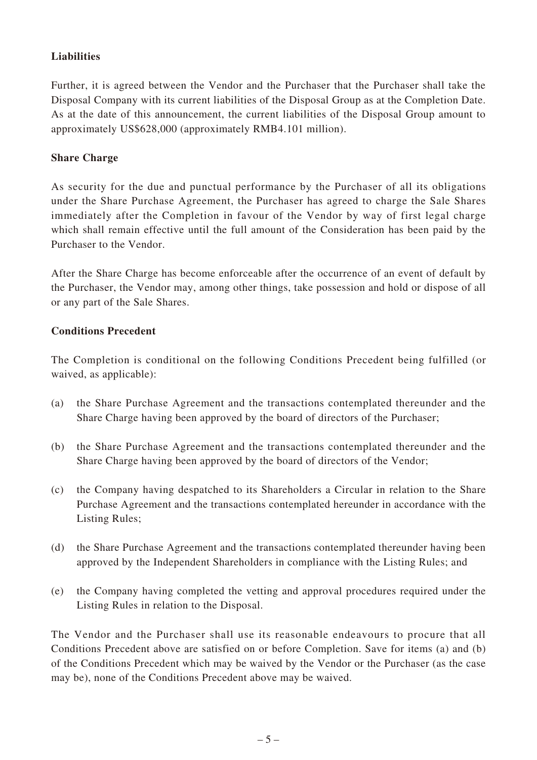## **Liabilities**

Further, it is agreed between the Vendor and the Purchaser that the Purchaser shall take the Disposal Company with its current liabilities of the Disposal Group as at the Completion Date. As at the date of this announcement, the current liabilities of the Disposal Group amount to approximately US\$628,000 (approximately RMB4.101 million).

### **Share Charge**

As security for the due and punctual performance by the Purchaser of all its obligations under the Share Purchase Agreement, the Purchaser has agreed to charge the Sale Shares immediately after the Completion in favour of the Vendor by way of first legal charge which shall remain effective until the full amount of the Consideration has been paid by the Purchaser to the Vendor.

After the Share Charge has become enforceable after the occurrence of an event of default by the Purchaser, the Vendor may, among other things, take possession and hold or dispose of all or any part of the Sale Shares.

### **Conditions Precedent**

The Completion is conditional on the following Conditions Precedent being fulfilled (or waived, as applicable):

- (a) the Share Purchase Agreement and the transactions contemplated thereunder and the Share Charge having been approved by the board of directors of the Purchaser;
- (b) the Share Purchase Agreement and the transactions contemplated thereunder and the Share Charge having been approved by the board of directors of the Vendor;
- (c) the Company having despatched to its Shareholders a Circular in relation to the Share Purchase Agreement and the transactions contemplated hereunder in accordance with the Listing Rules;
- (d) the Share Purchase Agreement and the transactions contemplated thereunder having been approved by the Independent Shareholders in compliance with the Listing Rules; and
- (e) the Company having completed the vetting and approval procedures required under the Listing Rules in relation to the Disposal.

The Vendor and the Purchaser shall use its reasonable endeavours to procure that all Conditions Precedent above are satisfied on or before Completion. Save for items (a) and (b) of the Conditions Precedent which may be waived by the Vendor or the Purchaser (as the case may be), none of the Conditions Precedent above may be waived.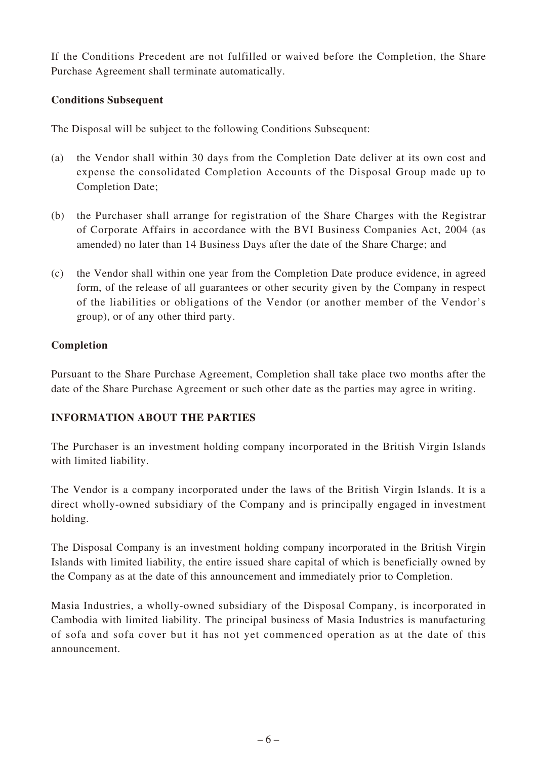If the Conditions Precedent are not fulfilled or waived before the Completion, the Share Purchase Agreement shall terminate automatically.

### **Conditions Subsequent**

The Disposal will be subject to the following Conditions Subsequent:

- (a) the Vendor shall within 30 days from the Completion Date deliver at its own cost and expense the consolidated Completion Accounts of the Disposal Group made up to Completion Date;
- (b) the Purchaser shall arrange for registration of the Share Charges with the Registrar of Corporate Affairs in accordance with the BVI Business Companies Act, 2004 (as amended) no later than 14 Business Days after the date of the Share Charge; and
- (c) the Vendor shall within one year from the Completion Date produce evidence, in agreed form, of the release of all guarantees or other security given by the Company in respect of the liabilities or obligations of the Vendor (or another member of the Vendor's group), or of any other third party.

### **Completion**

Pursuant to the Share Purchase Agreement, Completion shall take place two months after the date of the Share Purchase Agreement or such other date as the parties may agree in writing.

#### **INFORMATION ABOUT THE PARTIES**

The Purchaser is an investment holding company incorporated in the British Virgin Islands with limited liability.

The Vendor is a company incorporated under the laws of the British Virgin Islands. It is a direct wholly-owned subsidiary of the Company and is principally engaged in investment holding.

The Disposal Company is an investment holding company incorporated in the British Virgin Islands with limited liability, the entire issued share capital of which is beneficially owned by the Company as at the date of this announcement and immediately prior to Completion.

Masia Industries, a wholly-owned subsidiary of the Disposal Company, is incorporated in Cambodia with limited liability. The principal business of Masia Industries is manufacturing of sofa and sofa cover but it has not yet commenced operation as at the date of this announcement.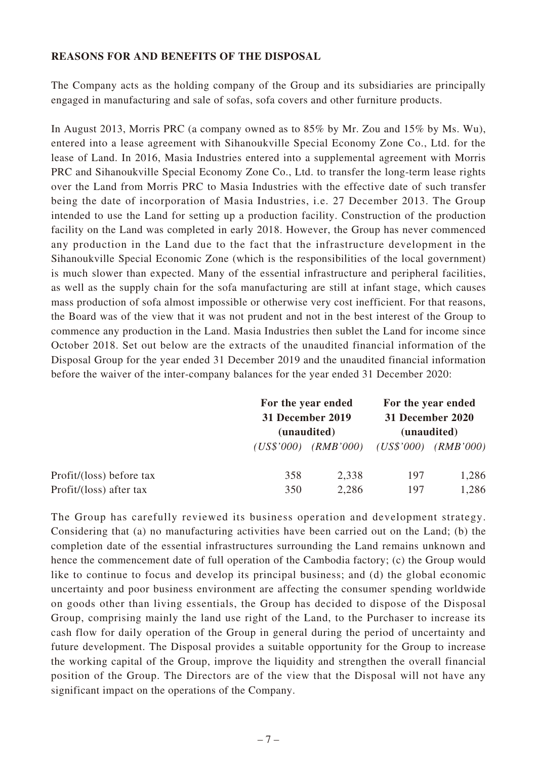#### **REASONS FOR AND BENEFITS OF THE DISPOSAL**

The Company acts as the holding company of the Group and its subsidiaries are principally engaged in manufacturing and sale of sofas, sofa covers and other furniture products.

In August 2013, Morris PRC (a company owned as to 85% by Mr. Zou and 15% by Ms. Wu), entered into a lease agreement with Sihanoukville Special Economy Zone Co., Ltd. for the lease of Land. In 2016, Masia Industries entered into a supplemental agreement with Morris PRC and Sihanoukville Special Economy Zone Co., Ltd. to transfer the long-term lease rights over the Land from Morris PRC to Masia Industries with the effective date of such transfer being the date of incorporation of Masia Industries, i.e. 27 December 2013. The Group intended to use the Land for setting up a production facility. Construction of the production facility on the Land was completed in early 2018. However, the Group has never commenced any production in the Land due to the fact that the infrastructure development in the Sihanoukville Special Economic Zone (which is the responsibilities of the local government) is much slower than expected. Many of the essential infrastructure and peripheral facilities, as well as the supply chain for the sofa manufacturing are still at infant stage, which causes mass production of sofa almost impossible or otherwise very cost inefficient. For that reasons, the Board was of the view that it was not prudent and not in the best interest of the Group to commence any production in the Land. Masia Industries then sublet the Land for income since October 2018. Set out below are the extracts of the unaudited financial information of the Disposal Group for the year ended 31 December 2019 and the unaudited financial information before the waiver of the inter-company balances for the year ended 31 December 2020:

|                          | For the year ended<br>31 December 2019<br>(unaudited) |                         | For the year ended<br>31 December 2020<br>(unaudited) |                         |
|--------------------------|-------------------------------------------------------|-------------------------|-------------------------------------------------------|-------------------------|
|                          |                                                       | $(US$'000)$ $(RMB'000)$ |                                                       | $(US$'000)$ $(RMB'000)$ |
| Profit/(loss) before tax | 358                                                   | 2,338                   | 197                                                   | 1,286                   |
| Profit/(loss) after tax  | 350                                                   | 2,286                   | 197                                                   | 1,286                   |

The Group has carefully reviewed its business operation and development strategy. Considering that (a) no manufacturing activities have been carried out on the Land; (b) the completion date of the essential infrastructures surrounding the Land remains unknown and hence the commencement date of full operation of the Cambodia factory; (c) the Group would like to continue to focus and develop its principal business; and (d) the global economic uncertainty and poor business environment are affecting the consumer spending worldwide on goods other than living essentials, the Group has decided to dispose of the Disposal Group, comprising mainly the land use right of the Land, to the Purchaser to increase its cash flow for daily operation of the Group in general during the period of uncertainty and future development. The Disposal provides a suitable opportunity for the Group to increase the working capital of the Group, improve the liquidity and strengthen the overall financial position of the Group. The Directors are of the view that the Disposal will not have any significant impact on the operations of the Company.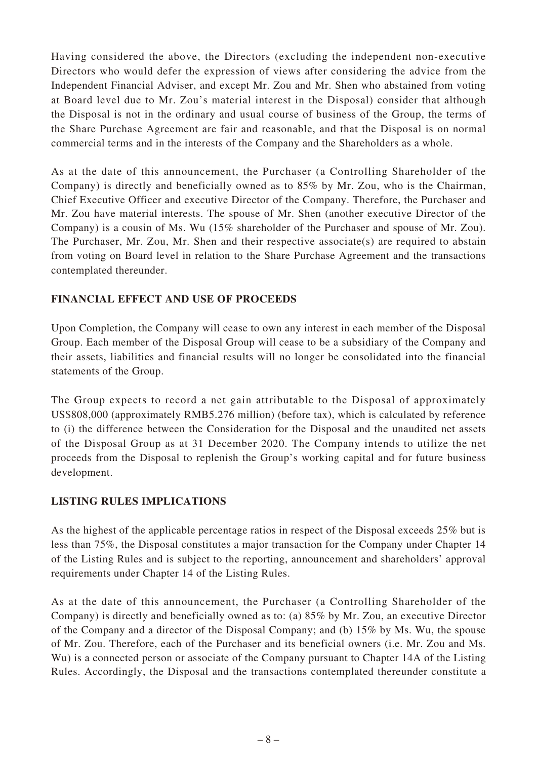Having considered the above, the Directors (excluding the independent non-executive Directors who would defer the expression of views after considering the advice from the Independent Financial Adviser, and except Mr. Zou and Mr. Shen who abstained from voting at Board level due to Mr. Zou's material interest in the Disposal) consider that although the Disposal is not in the ordinary and usual course of business of the Group, the terms of the Share Purchase Agreement are fair and reasonable, and that the Disposal is on normal commercial terms and in the interests of the Company and the Shareholders as a whole.

As at the date of this announcement, the Purchaser (a Controlling Shareholder of the Company) is directly and beneficially owned as to 85% by Mr. Zou, who is the Chairman, Chief Executive Officer and executive Director of the Company. Therefore, the Purchaser and Mr. Zou have material interests. The spouse of Mr. Shen (another executive Director of the Company) is a cousin of Ms. Wu (15% shareholder of the Purchaser and spouse of Mr. Zou). The Purchaser, Mr. Zou, Mr. Shen and their respective associate(s) are required to abstain from voting on Board level in relation to the Share Purchase Agreement and the transactions contemplated thereunder.

# **FINANCIAL EFFECT AND USE OF PROCEEDS**

Upon Completion, the Company will cease to own any interest in each member of the Disposal Group. Each member of the Disposal Group will cease to be a subsidiary of the Company and their assets, liabilities and financial results will no longer be consolidated into the financial statements of the Group.

The Group expects to record a net gain attributable to the Disposal of approximately US\$808,000 (approximately RMB5.276 million) (before tax), which is calculated by reference to (i) the difference between the Consideration for the Disposal and the unaudited net assets of the Disposal Group as at 31 December 2020. The Company intends to utilize the net proceeds from the Disposal to replenish the Group's working capital and for future business development.

## **LISTING RULES IMPLICATIONS**

As the highest of the applicable percentage ratios in respect of the Disposal exceeds 25% but is less than 75%, the Disposal constitutes a major transaction for the Company under Chapter 14 of the Listing Rules and is subject to the reporting, announcement and shareholders' approval requirements under Chapter 14 of the Listing Rules.

As at the date of this announcement, the Purchaser (a Controlling Shareholder of the Company) is directly and beneficially owned as to: (a) 85% by Mr. Zou, an executive Director of the Company and a director of the Disposal Company; and (b) 15% by Ms. Wu, the spouse of Mr. Zou. Therefore, each of the Purchaser and its beneficial owners (i.e. Mr. Zou and Ms. Wu) is a connected person or associate of the Company pursuant to Chapter 14A of the Listing Rules. Accordingly, the Disposal and the transactions contemplated thereunder constitute a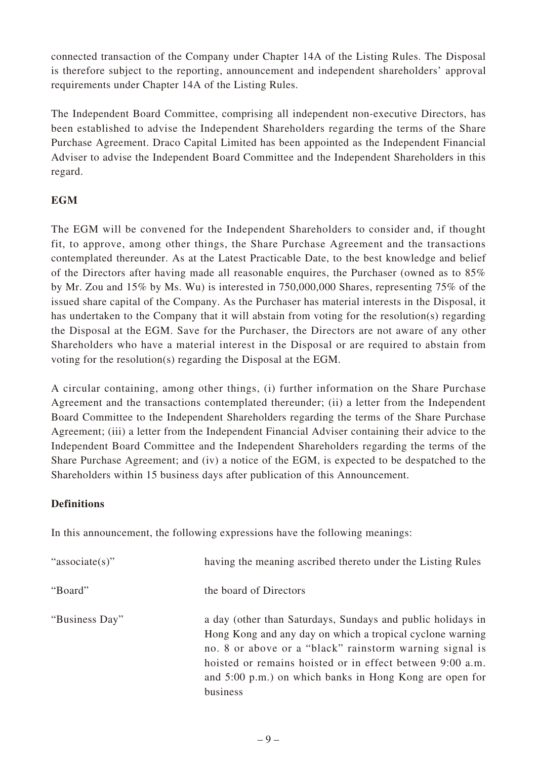connected transaction of the Company under Chapter 14A of the Listing Rules. The Disposal is therefore subject to the reporting, announcement and independent shareholders' approval requirements under Chapter 14A of the Listing Rules.

The Independent Board Committee, comprising all independent non-executive Directors, has been established to advise the Independent Shareholders regarding the terms of the Share Purchase Agreement. Draco Capital Limited has been appointed as the Independent Financial Adviser to advise the Independent Board Committee and the Independent Shareholders in this regard.

# **EGM**

The EGM will be convened for the Independent Shareholders to consider and, if thought fit, to approve, among other things, the Share Purchase Agreement and the transactions contemplated thereunder. As at the Latest Practicable Date, to the best knowledge and belief of the Directors after having made all reasonable enquires, the Purchaser (owned as to 85% by Mr. Zou and 15% by Ms. Wu) is interested in 750,000,000 Shares, representing 75% of the issued share capital of the Company. As the Purchaser has material interests in the Disposal, it has undertaken to the Company that it will abstain from voting for the resolution(s) regarding the Disposal at the EGM. Save for the Purchaser, the Directors are not aware of any other Shareholders who have a material interest in the Disposal or are required to abstain from voting for the resolution(s) regarding the Disposal at the EGM.

A circular containing, among other things, (i) further information on the Share Purchase Agreement and the transactions contemplated thereunder; (ii) a letter from the Independent Board Committee to the Independent Shareholders regarding the terms of the Share Purchase Agreement; (iii) a letter from the Independent Financial Adviser containing their advice to the Independent Board Committee and the Independent Shareholders regarding the terms of the Share Purchase Agreement; and (iv) a notice of the EGM, is expected to be despatched to the Shareholders within 15 business days after publication of this Announcement.

## **Definitions**

In this announcement, the following expressions have the following meanings:

| "associate(s)" | having the meaning ascribed thereto under the Listing Rules                                                                                                                                                                                                                                                             |
|----------------|-------------------------------------------------------------------------------------------------------------------------------------------------------------------------------------------------------------------------------------------------------------------------------------------------------------------------|
| "Board"        | the board of Directors                                                                                                                                                                                                                                                                                                  |
| "Business Day" | a day (other than Saturdays, Sundays and public holidays in<br>Hong Kong and any day on which a tropical cyclone warning<br>no. 8 or above or a "black" rainstorm warning signal is<br>hoisted or remains hoisted or in effect between 9:00 a.m.<br>and 5:00 p.m.) on which banks in Hong Kong are open for<br>business |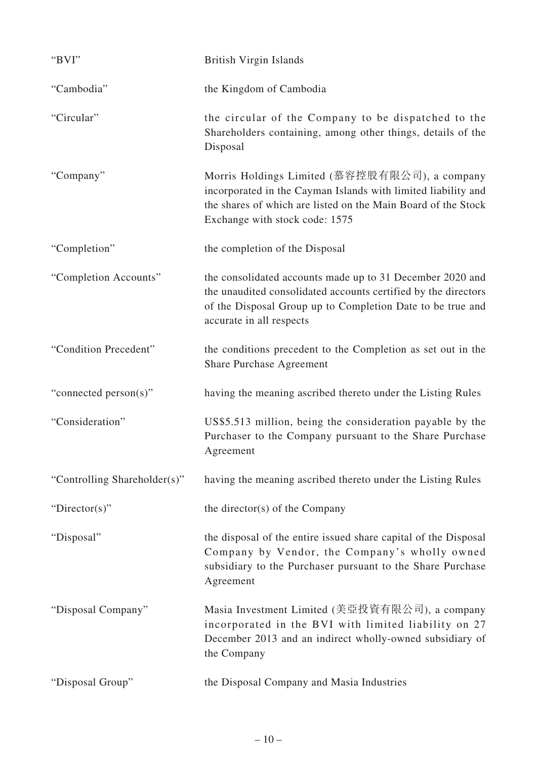| "BVI"                        | <b>British Virgin Islands</b>                                                                                                                                                                                         |
|------------------------------|-----------------------------------------------------------------------------------------------------------------------------------------------------------------------------------------------------------------------|
| "Cambodia"                   | the Kingdom of Cambodia                                                                                                                                                                                               |
| "Circular"                   | the circular of the Company to be dispatched to the<br>Shareholders containing, among other things, details of the<br>Disposal                                                                                        |
| "Company"                    | Morris Holdings Limited (慕容控股有限公司), a company<br>incorporated in the Cayman Islands with limited liability and<br>the shares of which are listed on the Main Board of the Stock<br>Exchange with stock code: 1575     |
| "Completion"                 | the completion of the Disposal                                                                                                                                                                                        |
| "Completion Accounts"        | the consolidated accounts made up to 31 December 2020 and<br>the unaudited consolidated accounts certified by the directors<br>of the Disposal Group up to Completion Date to be true and<br>accurate in all respects |
| "Condition Precedent"        | the conditions precedent to the Completion as set out in the<br><b>Share Purchase Agreement</b>                                                                                                                       |
| "connected person(s)"        | having the meaning ascribed thereto under the Listing Rules                                                                                                                                                           |
| "Consideration"              | US\$5.513 million, being the consideration payable by the<br>Purchaser to the Company pursuant to the Share Purchase<br>Agreement                                                                                     |
| "Controlling Shareholder(s)" | having the meaning ascribed thereto under the Listing Rules                                                                                                                                                           |
| "Director(s)"                | the director(s) of the Company                                                                                                                                                                                        |
| "Disposal"                   | the disposal of the entire issued share capital of the Disposal<br>Company by Vendor, the Company's wholly owned<br>subsidiary to the Purchaser pursuant to the Share Purchase<br>Agreement                           |
| "Disposal Company"           | Masia Investment Limited (美亞投資有限公司), a company<br>incorporated in the BVI with limited liability on 27<br>December 2013 and an indirect wholly-owned subsidiary of<br>the Company                                     |
| "Disposal Group"             | the Disposal Company and Masia Industries                                                                                                                                                                             |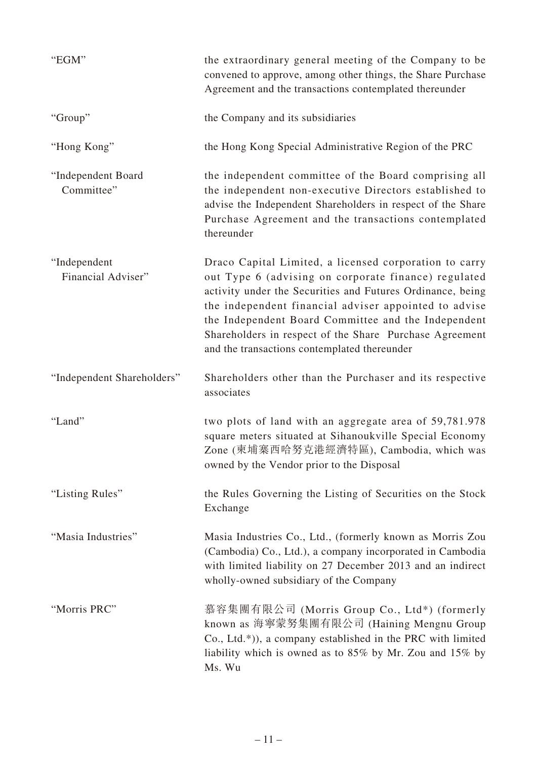| "EGM"                              | the extraordinary general meeting of the Company to be<br>convened to approve, among other things, the Share Purchase<br>Agreement and the transactions contemplated thereunder                                                                                                                                                                                                                         |
|------------------------------------|---------------------------------------------------------------------------------------------------------------------------------------------------------------------------------------------------------------------------------------------------------------------------------------------------------------------------------------------------------------------------------------------------------|
| "Group"                            | the Company and its subsidiaries                                                                                                                                                                                                                                                                                                                                                                        |
| "Hong Kong"                        | the Hong Kong Special Administrative Region of the PRC                                                                                                                                                                                                                                                                                                                                                  |
| "Independent Board<br>Committee"   | the independent committee of the Board comprising all<br>the independent non-executive Directors established to<br>advise the Independent Shareholders in respect of the Share<br>Purchase Agreement and the transactions contemplated<br>thereunder                                                                                                                                                    |
| "Independent<br>Financial Adviser" | Draco Capital Limited, a licensed corporation to carry<br>out Type 6 (advising on corporate finance) regulated<br>activity under the Securities and Futures Ordinance, being<br>the independent financial adviser appointed to advise<br>the Independent Board Committee and the Independent<br>Shareholders in respect of the Share Purchase Agreement<br>and the transactions contemplated thereunder |
| "Independent Shareholders"         | Shareholders other than the Purchaser and its respective<br>associates                                                                                                                                                                                                                                                                                                                                  |
| "Land"                             | two plots of land with an aggregate area of 59,781.978<br>square meters situated at Sihanoukville Special Economy<br>Zone (柬埔寨西哈努克港經濟特區), Cambodia, which was<br>owned by the Vendor prior to the Disposal                                                                                                                                                                                              |
| "Listing Rules"                    | the Rules Governing the Listing of Securities on the Stock<br>Exchange                                                                                                                                                                                                                                                                                                                                  |
| "Masia Industries"                 | Masia Industries Co., Ltd., (formerly known as Morris Zou<br>(Cambodia) Co., Ltd.), a company incorporated in Cambodia<br>with limited liability on 27 December 2013 and an indirect<br>wholly-owned subsidiary of the Company                                                                                                                                                                          |
| "Morris PRC"                       | 慕容集團有限公司 (Morris Group Co., Ltd*) (formerly<br>known as 海寧蒙努集團有限公司 (Haining Mengnu Group<br>Co., Ltd.*)), a company established in the PRC with limited<br>liability which is owned as to 85% by Mr. Zou and 15% by<br>Ms. Wu                                                                                                                                                                           |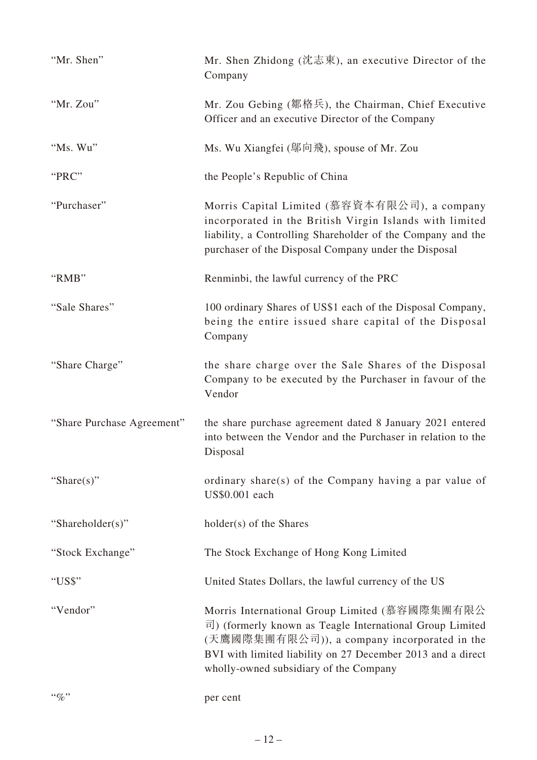| "Mr. Shen"                 | Mr. Shen Zhidong (沈志東), an executive Director of the<br>Company                                                                                                                                                                                                    |
|----------------------------|--------------------------------------------------------------------------------------------------------------------------------------------------------------------------------------------------------------------------------------------------------------------|
| "Mr. Zou"                  | Mr. Zou Gebing (鄒格兵), the Chairman, Chief Executive<br>Officer and an executive Director of the Company                                                                                                                                                            |
| "Ms. Wu"                   | Ms. Wu Xiangfei (鄔向飛), spouse of Mr. Zou                                                                                                                                                                                                                           |
| "PRC"                      | the People's Republic of China                                                                                                                                                                                                                                     |
| "Purchaser"                | Morris Capital Limited (慕容資本有限公司), a company<br>incorporated in the British Virgin Islands with limited<br>liability, a Controlling Shareholder of the Company and the<br>purchaser of the Disposal Company under the Disposal                                     |
| "RMB"                      | Renminbi, the lawful currency of the PRC                                                                                                                                                                                                                           |
| "Sale Shares"              | 100 ordinary Shares of US\$1 each of the Disposal Company,<br>being the entire issued share capital of the Disposal<br>Company                                                                                                                                     |
| "Share Charge"             | the share charge over the Sale Shares of the Disposal<br>Company to be executed by the Purchaser in favour of the<br>Vendor                                                                                                                                        |
| "Share Purchase Agreement" | the share purchase agreement dated 8 January 2021 entered<br>into between the Vendor and the Purchaser in relation to the<br>Disposal                                                                                                                              |
| "Share $(s)$ "             | ordinary share(s) of the Company having a par value of<br>US\$0.001 each                                                                                                                                                                                           |
| "Shareholder(s)"           | holder(s) of the Shares                                                                                                                                                                                                                                            |
| "Stock Exchange"           | The Stock Exchange of Hong Kong Limited                                                                                                                                                                                                                            |
| "US\$"                     | United States Dollars, the lawful currency of the US                                                                                                                                                                                                               |
| "Vendor"                   | Morris International Group Limited (慕容國際集團有限公<br>司) (formerly known as Teagle International Group Limited<br>(天鷹國際集團有限公司)), a company incorporated in the<br>BVI with limited liability on 27 December 2013 and a direct<br>wholly-owned subsidiary of the Company |
| $``\%"$                    | per cent                                                                                                                                                                                                                                                           |